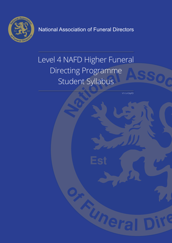

National Association of Funeral Directors

# Level 4 NAFD Higher Funeral Directing Programme Student Syllabus

V1/ L4 DipFD

Uner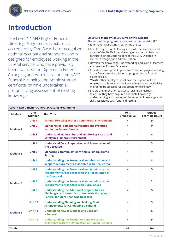

### **Introduction**

The Level 4 NAFD Higher Funeral Directing Programme, is externally accredited by One Awards, to recognised national occupational standards and is designed for employees working in the funeral service, who have previously been awarded the Diploma in Funeral Arranging and Administration, the NAFD Funeral Arranging and Administration certificate, or have undertaken a pre-qualifying assessment of existing knowledge.

#### **Structure of the syllabus / Aims of the syllabus**

The aims of the programme syllabus for the Level 4 NAFD Higher Funeral Directing Programme are to:

- **Enable progression following successful achievement and** award of the NAFD Funeral Arranging and Administration certificate, or previous holders of the NAFD Diploma in Funeral Arranging and Administration.
- Develop the knowledge, understanding and skills of learners employed as Funeral Directors'.
- **Provide a development option for \*other employees working** in the funeral service wishing to progress into a funeral directing role.
- **\* Note:** other employees must have the support of their employer and have access to Funeral Directing responsibilities in order to be assessed for this programme of study
- **Enable the Association to assess registered learners** to ensure they have acquired adequate knowledge, understanding and mastery of the required knowledge and skills associated with funeral directing.

| <b>Level 4 NAFD Higher Funeral Directing Programme</b> |                              |                                                                                                                                                               |                             |                                 |
|--------------------------------------------------------|------------------------------|---------------------------------------------------------------------------------------------------------------------------------------------------------------|-----------------------------|---------------------------------|
| <b>Module</b>                                          | <b>Unit</b><br><b>Number</b> | <b>Unit Title</b>                                                                                                                                             | Unit<br><b>Credit Value</b> | Guided<br><b>Learning Hours</b> |
|                                                        | Unit 1                       | <b>Funeral Directing within a Commercial Environment</b>                                                                                                      | 4                           | 24                              |
| <b>Module 1</b>                                        | Unit 2                       | <b>Standards of Professional Practice and Premises</b><br>within the Funeral Service                                                                          | 4                           | 24                              |
|                                                        | <b>Unit 3</b>                | <b>Understand Maintaining and Monitoring Health and</b><br><b>Safety in a Funeral Environment</b>                                                             | 4                           | 24                              |
|                                                        | Unit 4                       | <b>Understand Care, Preparation and Presentation of</b><br>the Deceased                                                                                       | $\overline{4}$              | 24                              |
| <b>Module 2</b>                                        | Unit 5                       | <b>Managing Communication within a Funeral Home</b><br><b>Setting</b>                                                                                         | $\overline{4}$              | 24                              |
|                                                        | Unit 6                       | <b>Understanding the Procedural, Administrative and</b><br><b>Support Requirements Associated with Bequeathal</b>                                             | $\overline{4}$              | 24                              |
|                                                        | Unit 7                       | <b>Understanding the Procedural and Administrative</b><br><b>Requirements Associated with the Repatriation of</b><br>the Deceased                             | $\overline{4}$              | 24                              |
| <b>Module 3</b>                                        | Unit 8                       | <b>Understanding the Procedural and Administrative</b><br><b>Requirements Associated with Burial at Sea</b>                                                   | $\overline{4}$              | 24                              |
|                                                        | Unit 9                       | <b>Understanding the Additional Responsibilities,</b><br><b>Challenges and Issues Associated with Managing a</b><br><b>Funeral for More Than One Deceased</b> | $\overline{4}$              | 24                              |
|                                                        | <b>Unit 10</b>               | <b>Understanding Planning and Making Final</b><br><b>Arrangements for Conducting a Funeral</b>                                                                | $\overline{4}$              | 24                              |
| <b>Module 4</b>                                        | <b>Unit 11</b>               | <b>Understand how to Manage and Conduct</b><br>a Funeral                                                                                                      | 5                           | 30                              |
|                                                        | <b>Unit 12</b>               | <b>Understanding the Regulations and Processes</b><br><b>Associated with the Exhumation of Human Remains</b>                                                  | $\overline{4}$              | 24                              |
| <b>Totals</b>                                          |                              |                                                                                                                                                               | 49                          | 294                             |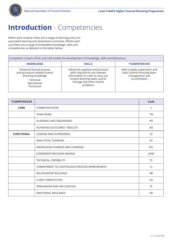

### **Introduction** - Competencies

Within each module, there are a range of learning units and associated learning and assessment outcomes. Within each unit there are a range of embedded knowledge, skills and competencies as detailed in the tables below.

| Completion of each of the units will enable the development of knowledge, skills and behaviours                            |                                                                                                                                                                                     |                                                                                                  |
|----------------------------------------------------------------------------------------------------------------------------|-------------------------------------------------------------------------------------------------------------------------------------------------------------------------------------|--------------------------------------------------------------------------------------------------|
| <b>KNOWLEDGE</b>                                                                                                           | <b>SKILLS</b>                                                                                                                                                                       | *COMPETENCIES                                                                                    |
| Advanced factual process<br>and procedure related funeral<br>directing knowledge<br>Technical<br>Operational<br>Functional | Advanced cognitive and practical<br>skills required to use relevant<br>information in order to carry out<br>funeral directing tasks, and to<br>manage and solve routine<br>problems | Able to apply supervision and<br>basic funeral directing team<br>management and<br>co-ordination |

| *COMPETENCIES     |                                              | Code       |
|-------------------|----------------------------------------------|------------|
| <b>CORE</b>       | COMMUNICATION                                | C          |
|                   | <b>TEAM WORK</b>                             | <b>TW</b>  |
|                   | PLANNING AND ORGANISING                      | PO         |
|                   | ACHIEVING OUTCOMES / RESULTS                 | AO         |
| <b>FUNCTIONAL</b> | LEADING AND SUPERVISING                      | LS         |
|                   | ANALYTICAL THINKING                          | AT         |
|                   | KNOWLEDGE SHARING AND LEARNING               | <b>KSL</b> |
|                   | JUDGEMENT/DECISION MAKING                    | J/DM       |
|                   | <b>TECHNICAL CREDIBILITY</b>                 | TC         |
|                   | COMMITMENT TO CONTINUOUS PROCESS IMPROVEMENT | Cl         |
|                   | <b>RELATIONSHIP BUILDING</b>                 | <b>RB</b>  |
|                   | <b>CLIENT ORIENTATION</b>                    | CO         |
|                   | PERSUASION AND INFLUENCING                   | PI         |
|                   | <b>EMOTIONAL RESILIENCE</b>                  | ER         |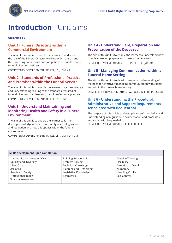

### **Introduction** - Unit aims

**Unit Aims 1-6**

### **Unit 1 - Funeral Directing within a Commercial Environment**

The aim of this unit is to enable the learner to understand the role of the Funeral Director working within the UK and the increasing commercial and competitive demands upon a funeral directing business.

COMPETENCY DEVELOPMENT: TC, KSL, LS, J/DM, AT

### **Unit 2 - Standards of Professional Practice and Premises within the Funeral Service**

The aim of this unit is to enable the learner to gain knowledge and understanding relating to the standards required of funeral directing premises and that of professional practice.

COMPETENCY DEVELOPMENT: TC, KSL, LS, J/DM

### **Unit 3 - Understand Maintaining and Monitoring Health and Safety in a Funeral Environment**

The aim of this unit is to enable the learner to further develop knowledge of health and safety related legislation and regulation and how this applies within the funeral environment.

COMPETENCY DEVELOPMENT: TC, KSL, LS, J/DM, PO, J/DM

### **Unit 4 - Understand Care, Preparation and Presentation of the Deceased**

The aim of this unit is to enable the learner to understand how to safely care for, prepare and present the deceased.

COMPETENCY DEVELOPMENT: TC, KSL, ER, CO, J/D, AO, C

#### **Unit 5 - Managing Communication within a Funeral Home Setting**

The aim of this unit is to develop learners' understanding of the need for effectively managing communication with clients and within the funeral home setting.

COMPETENCY DEVELOPMENT: C, TW, PO, LS, KSL, TC, PI, CO, RB

#### **Unit 6 - Understanding the Procedural, Administrative and Support Requirements Associated with Bequeathal**

The purpose of this unit is to develop learners' knowledge and understanding of regulation, documentation and processes associated with bequeathal. COMPETENCY DEVELOPMENT: C, KSL, TC, CO

| Skills development upon completion                                                                                                                           |                                                                                                                                                |                                                                                                                 |  |
|--------------------------------------------------------------------------------------------------------------------------------------------------------------|------------------------------------------------------------------------------------------------------------------------------------------------|-----------------------------------------------------------------------------------------------------------------|--|
| Communication Written / Oral<br>Equality and Diversity<br>Client Care<br>Use of I.T<br>Health and Safety<br>Professional Image<br><b>Financial Awareness</b> | <b>Building Relationships</b><br>Problem Solving<br><b>Technical Knowledge</b><br>Planning and Organising<br>Legislative Knowledge<br>Teamwork | Creative Thinking<br>Flexibility<br>Attention to Detail<br>Numeracy<br><b>Handling Conflict</b><br>Self-Control |  |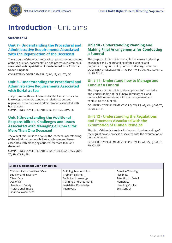

### **Introduction** - Unit aims

**Unit Aims 7-12**

### **Unit 7 - Understanding the Procedural and Administrative Requirements Associated with the Repatriation of the Deceased**

The Purpose of this unit is to develop learners understanding of the regulation, documentation and process requirements associated with repatriation of the deceased to or from the United Kingdom.

COMPETENCY DEVELOPMENT: C, PO, LS, KSL, TC, CO

### **Unit 8 - Understanding the Procedural and Administrative Requirements Associated with Burial at Sea**

The purpose of this unit is to enable the learner to develop knowledge and understanding in relation to current regulation, procedures and administration associated with burial at sea.

COMPETENCY DEVELOPMENT: C, TC, PO, KSL, J.DM, CO

### **Unit 9 Understanding the Additional Responsibilities, Challenges and Issues Associated with Managing a Funeral for More Than One Deceased**

The aim of this unit is to develop the learners understanding of the additional responsibilities, challenges and issues associated with managing a funeral for more than one deceased.

COMPETENCY DEVELOPMENT: C, TW, AO/R, LS, AT, KSL, J/DM, TC, RB, CO, PI, ER

### **Unit 10 - Understanding Planning and Making Final Arrangements for Conducting a Funeral**

The purpose of this unit is to enable the learner to develop knowledge and understanding of the planning and preparation requirements prior to conducting the funeral. COMPETENCY DEVELOPMENT: C, PO, TW, LS, AT, KSL, J.DM, TC, CI, RB, CO, PI

#### **Unit 11 - Understand how to Manage and Conduct a Funeral**

The purpose of this unit is to develop learners' knowledge and understanding of the Funeral Directors role and responsibilities associated with the management and conducting of a funeral.

COMPETENCY DEVELOPMENT: C, PO, TW, LS, AT, KSL, J.DM, TC, CI, RB, CO, PI

#### **Unit 12 - Understanding the Regulations and Processes Associated with the Exhumation of Human Remains**

The aim of this unit is to develop learners' understanding of the regulation and process associated with the exhumation of human remains.

COMPETENCY DEVELOPMENT: C, PO, TW, LS, AT, KSL, J.DM, TC, RB, CO, ER

| Skills development upon completion                                                                                                                           |                                                                                                                                                |                                                                                                                 |  |
|--------------------------------------------------------------------------------------------------------------------------------------------------------------|------------------------------------------------------------------------------------------------------------------------------------------------|-----------------------------------------------------------------------------------------------------------------|--|
| Communication Written / Oral<br>Equality and Diversity<br>Client Care<br>Use of I.T<br>Health and Safety<br>Professional Image<br><b>Financial Awareness</b> | <b>Building Relationships</b><br>Problem Solving<br><b>Technical Knowledge</b><br>Planning and Organising<br>Legislative Knowledge<br>Teamwork | Creative Thinking<br>Flexibility<br>Attention to Detail<br>Numeracy<br><b>Handling Conflict</b><br>Self-Control |  |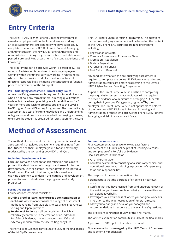

### **Entry Criteria**

The Level 4 NAFD Higher Funeral Directing Programme is aimed at employees within the funeral service working in an associated funeral directing role who have successfully completed the former NAFD Diploma in Funeral Arranging and Administration, the new NAFD Funeral Arranging and Administration training programme or have undertaken and passed a pre-qualifying assessment of existing experience and knowledge.

This programme can be achieved within a period of 12 - 18 months. Registration is restricted to existing employees working within the funeral service, working in related roles, who are able to provide workplace evidence of funeral directing responsibilities, including the conducting of funerals prior to achievement of the L4 DipFD.

#### **Pre – Qualifying Assessment – Direct Entry Route**

A pre - qualifying assessment is required for funeral directors who do not hold any formal funeral directing qualifications to date, but have been practising as a funeral director for 3 years or more and wish to progress straight to the Level 4 NAFD Higher Funeral Directing Programme. The pre-qualifying assessment is a test of current knowledge and understanding of legislation and practice associated with arranging a funeral, to ensure the student is prepared for registration for the Level

4 NAFD Higher Funeral Directing Programme. The questions for the pre-qualifying assessment will be based on the content of the NAFD online FAA certificate training programme, including:

- Registration of Death
- **Coroners Procedures / Procurator Fiscal**
- Cremation Regulation
- **Burial Regulation**
- **Arranging the Funeral**
- **First Call and Removal.**

Any candidate who fails the pre-qualifying assessment is required to complete the online NAFD Funeral Arranging and Administration certificate before progressing to the Level 4 NAFD Higher Funeral Directing Programme.

As part of the Direct Entry Route, in addition to completing the pre-qualifying assessment, candidates will be required to provide evidence of a minimum of arranging 75 funerals during their 3 year qualifying period, signed off by their employer. The Direct Entry Route is not applicable to holders of the previous NAFD Diploma in Funeral Arranging and Administration, or those who achieve the online NAFD Funeral Arranging and Administration certificate.

### **Method of Assessment**

The method of assessment for this programme is based on a process of triangulated engagement requiring input from the Student and their Employer, your tutor and externally moderated by the accrediting body EQA and IQA. .

#### **Individual Development Plan**

Each unit contains a section for self-reflection and aims to prompt the identification of strengths and areas for further development. Each registered learner develops an Individual Development Plan with their tutor, which is used as an evolving document to underpin the learning and development process for each individual as the programme of study progresses.

#### **Formative Assessment**

Coursework Assessment consists of:

- **Online proof of learning exercises upon completion of each Unit**. Assessment consists of a range of assessment methods ranging from Multiple Choice; Single; Free Choice: Sorting and Open questions.
- **Portfolio of Evidence** all Unit Activities of which all collectively contribute to the creation of an Individual Portfolio of Evidence, marked by your tutor, IQA and externally moderated by the accrediting body EQA.

The Portfolio of Evidence contributes to 25% of the final marks of the L4 DipFD programme.

#### **Summative Assessment**

Final Assessment takes place following satisfactory achievement of all Units, online proof of learning exercises and completion of a Portfolio of Evidence. Final assessment is formed of:

An oral examination.

A written examination consisting of a series of technical and operational questions, including exploration of supervisory tasks and responsibilities.

The purpose of the oral examination is to:

- Demonstrate that the portfolio of evidence is your own work.
- Confirm that you have learned from and understand each of the activities you have completed what you have written and can defend it verbally.
- **Investigate your awareness of where your original work sits** in relation to the wider occupation of funeral directing.
- **Allow you to clarify and develop your analysis and** recommendations in response to the examiners' questions.

The oral exam contributes to 25% of the final marks.

The written examination contributes to 50% of the final marks.

A pass rate of 60% applies to each assessment.

Final examination is managed by the NAFD Team of Examiners and is externally moderated.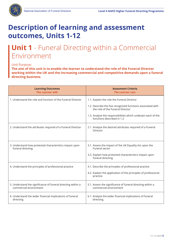

# **Description of learning and assessment outcomes, Units 1-12**

# **Unit 1** - Funeral Directing within a Commercial Environment

#### Unit Purpose:

**The aim of this unit is to enable the learner to understand the role of the Funeral Director working within the UK and the increasing commercial and competitive demands upon a funeral directing business.** 

| <b>Learning Outcomes</b><br>The Learner will:                                          | <b>Assesment Criteria</b><br><b>The Learner can:</b>                                                                                                                                                                                        |
|----------------------------------------------------------------------------------------|---------------------------------------------------------------------------------------------------------------------------------------------------------------------------------------------------------------------------------------------|
| 1. Understand the role and function of the Funeral Director                            | 1.1. Explain the role the Funeral Director<br>1.2. Describe the five recognised functions associated with<br>the role of the Funeral Director<br>1.3. Analyse the responsibilities which underpin each of the<br>functions described in 1.2 |
| 2. Understand the attributes required of a Funeral Director                            | 2.1. Analyse the desired attributes required of a Funeral<br>Director                                                                                                                                                                       |
| 3. Understand how protected characteristics impact upon<br>funeral directing           | 3.1. Assess the impact of the UK Equality Act upon the<br>Funeral sector<br>3.2. Explain how protected characteristics impact upon<br>funeral directing                                                                                     |
| 4. Understand the principles of professional practice                                  | 4.1. Describe the principles of professional practice<br>4.2. Explain the application of the principles of professional<br>practice                                                                                                         |
| 5. Understand the significance of funeral directing within a<br>commercial environment | 5.1. Assess the significance of funeral directing within a<br>commercial environment                                                                                                                                                        |
| 6. Understand the wider financial implications of funeral<br>directing                 | 6.1. Analyse the wider financial implications of funeral<br>directing.                                                                                                                                                                      |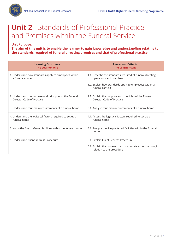

# **Unit 2** - Standards of Professional Practice and Premises within the Funeral Service

Unit Purpose:

**The aim of this unit is to enable the learner to gain knowledge and understanding relating to the standards required of funeral directing premises and that of professional practice.**

| <b>Learning Outcomes</b><br>The Learner will:                                        | <b>Assesment Criteria</b><br>The Learner can:                                                                                                                     |
|--------------------------------------------------------------------------------------|-------------------------------------------------------------------------------------------------------------------------------------------------------------------|
| 1. Understand how standards apply to employees within<br>a funeral context           | 1.1. Describe the standards required of funeral directing<br>operations and premises<br>1.2. Explain how standards apply to employees within a<br>funeral context |
| 2. Understand the purpose and principles of the Funeral<br>Director Code of Practice | 2.1. Explain the purpose and principles of the Funeral<br>Director Code of Practice                                                                               |
| 3. Understand four main requirements of a funeral home                               | 3.1. Analyse four main requirements of a funeral home                                                                                                             |
| 4. Understand the logistical factors required to set up a<br>funeral home            | 4.1. Assess the logistical factors required to set up a<br>funeral home                                                                                           |
| 5. Know the five preferred facilities within the funeral home                        | 5.1. Analyse the five preferred facilities within the funeral<br>home                                                                                             |
| 6. Understand Client Redress Procedure                                               | 6.1. Explain Client Redress Procedure<br>6.2. Explain the process to accommodate actions arising in<br>relation to the procedure                                  |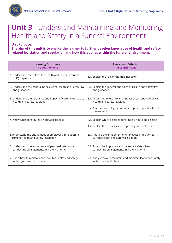

### **Unit 3** - Understand Maintaining and Monitoring Health and Safety in a Funeral Environment

Unit Purpose:

**The aim of this unit is to enable the learner to further develop knowledge of health and safety related legislation and regulation and how this applies within the funeral environment.**

| <b>Learning Outcomes</b>                                                                     | <b>Assesment Criteria</b>                                                                                                                                                         |
|----------------------------------------------------------------------------------------------|-----------------------------------------------------------------------------------------------------------------------------------------------------------------------------------|
| <b>The Learner will:</b>                                                                     | The Learner can:                                                                                                                                                                  |
| 1. Understand the role of the Health and Safety Executive<br>(HSE) Inspector                 | 1.1. Explain the role of the HSE Inspector                                                                                                                                        |
| 2. Understand the general principles of Health and Safety law                                | 2.1. Explain the general principles of Health and Safety law                                                                                                                      |
| and guidance                                                                                 | and guidance                                                                                                                                                                      |
| 3. Understand the relevance and impact of current workplace<br>Health and Safety legislation | 3.1. Assess the relevance and impact of current workplace<br>Health and Safety legislation<br>3.2. Assess current legislation which applies specifically to the<br>funeral sector |
| 4. Know what constitutes a notifiable disease                                                | 4.1. Explain which diseases constitute a notifiable disease<br>4.2. Explain the processes for reporting notifiable disease                                                        |
| 5. Understand the entitlement of employees in relation to                                    | 5.1. Analyse the entitlement of employees in relation to                                                                                                                          |
| current Health and Safety legislation                                                        | current Health and Safety legislation                                                                                                                                             |
| 6. Understand the importance of personal safety when                                         | 6.1. Assess the importance of personal safety when                                                                                                                                |
| conducting arrangements in a client's home                                                   | conducting arrangements in a client's home                                                                                                                                        |
| 7. Know how to maintain and monitor Health and Safety                                        | 7.1. Analyse how to maintain and monitor Health and Safety                                                                                                                        |
| within your own workplace                                                                    | within own workplace.                                                                                                                                                             |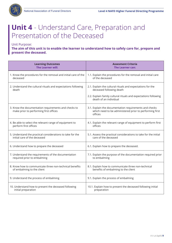

# **Unit 4** - Understand Care, Preparation and Presentation of the Deceased

Unit Purpose:

**The aim of this unit is to enable the learner to understand how to safely care for, prepare and present the deceased.**

| <b>Learning Outcomes</b>                                                                       | <b>Assesment Criteria</b>                                                                                                    |
|------------------------------------------------------------------------------------------------|------------------------------------------------------------------------------------------------------------------------------|
| <b>The Learner will:</b>                                                                       | The Learner can:                                                                                                             |
| 1. Know the procedures for the removal and initial care of the                                 | 1.1. Explain the procedures for the removal and initial care                                                                 |
| deceased                                                                                       | of the deceased                                                                                                              |
| 2. Understand the cultural rituals and expectations following                                  | 2.1. Explain the cultural rituals and expectations for the                                                                   |
| death                                                                                          | deceased following death                                                                                                     |
|                                                                                                | 2.2. Explain family cultural rituals and expectations following<br>death of an individual                                    |
| 3. Know the documentation requirements and checks to<br>make prior to performing first offices | 3.1. Explain the documentation requirements and checks<br>which need to be administered prior to performing first<br>offices |
| 4. Be able to select the relevant range of equipment to                                        | 4.1. Explain the relevant range of equipment to perform first                                                                |
| perform first offices                                                                          | offices                                                                                                                      |
| 5. Understand the practical considerations to take for the                                     | 5.1. Assess the practical considerations to take for the initial                                                             |
| initial care of the deceased                                                                   | care of the deceased                                                                                                         |
| 6. Understand how to prepare the deceased                                                      | 6.1. Explain how to prepare the deceased.                                                                                    |
| 7. Understand the requirements of the documentation                                            | 7.1. Explain the purpose of the documentation required prior                                                                 |
| required prior to embalming                                                                    | to embalming                                                                                                                 |
| 8. Know how to communicate three non-technical benefits                                        | 8.1. Explain how to communicate three non-technical                                                                          |
| of embalming to the client                                                                     | benefits of embalming to the client                                                                                          |
| 9. Understand the process of embalming                                                         | 9.1. Explain the process of embalming                                                                                        |
| 10. Understand how to present the deceased following                                           | 10.1. Explain how to present the deceased following initial                                                                  |
| initial preparation                                                                            | preparation                                                                                                                  |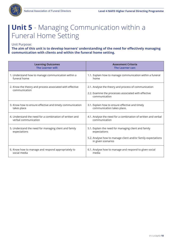

# **Unit 5** - Managing Communication within a Funeral Home Setting

Unit Purpose:

**The aim of this unit is to develop learners' understanding of the need for effectively managing communication with clients and within the funeral home setting.**

| <b>Learning Outcomes</b>                                                  | <b>Assesment Criteria</b>                                                                                                                                  |
|---------------------------------------------------------------------------|------------------------------------------------------------------------------------------------------------------------------------------------------------|
| <b>The Learner will:</b>                                                  | The Learner can:                                                                                                                                           |
| 1. Understand how to manage communication within a                        | 1.1. Explain how to manage communication within a funeral                                                                                                  |
| funeral home                                                              | home                                                                                                                                                       |
| 2. Know the theory and process associated with effective<br>communication | 2.1. Analyse the theory and process of communication<br>2.2. Examine the processes associated with effective<br>communication                              |
| 3. Know how to ensure effective and timely communication                  | 3.1. Explain how to ensure effective and timely                                                                                                            |
| takes place                                                               | communication takes place.                                                                                                                                 |
| 4. Understand the need for a combination of written and                   | 4.1. Analyse the need for a combination of written and verbal                                                                                              |
| verbal communication                                                      | communication                                                                                                                                              |
| 5. Understand the need for managing client and family<br>expectations     | 5.1. Explain the need for managing client and family<br>expectations<br>5.2. Analyse how to manage client and/or family expectations<br>in given scenarios |
| 6. Know how to manage and respond appropriately to                        | 6.1. Analyse how to manage and respond to given social                                                                                                     |
| social media                                                              | media                                                                                                                                                      |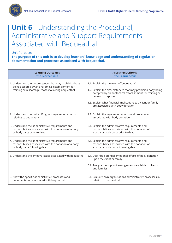

Unit Purpose:

**The purpose of this unit is to develop learners' knowledge and understanding of regulation, documentation and processes associated with bequeathal.**

| <b>Learning Outcomes</b>                                    | <b>Assesment Criteria</b>                                                                                                |
|-------------------------------------------------------------|--------------------------------------------------------------------------------------------------------------------------|
| <b>The Learner will:</b>                                    | The Learner can:                                                                                                         |
| 1. Understand the circumstances that may prohibit a body    | 1.1. Explain the meaning of 'bequeathal'                                                                                 |
| being accepted by an anatomical establishment for           | 1.2. Explain the circumstances that may prohibit a body being                                                            |
| training or research purposes following bequeathal          | accepted by an anatomical establishment for training or                                                                  |
|                                                             | research purposes<br>1.3. Explain what financial implications to a client or family<br>are associated with body donation |
| 2. Understand the United Kingdom legal requirements         | 2.1. Explain the legal requirements and procedures                                                                       |
| relating to bequeathal                                      | associated with body donation                                                                                            |
| 3. Understand the administrative requirements and           | 3.1. Explain the administrative requirements and                                                                         |
| responsibilities associated with the donation of a body     | responsibilities associated with the donation of                                                                         |
| or body parts prior to death                                | a body or body parts prior to death                                                                                      |
| 4. Understand the administrative requirements and           | 4.1. Explain the administrative requirements and                                                                         |
| responsibilities associated with the donation of a body     | responsibilities associated with the donation of                                                                         |
| or body parts following death                               | a body or body parts following death                                                                                     |
| 5. Understand the emotive issues associated with bequeathal | 5.1. Describe potential emotional effects of body donation<br>upon the client or family                                  |
|                                                             | 5.2. Analyse the support arrangements available to clients<br>and families                                               |
| 6. Know the specific administrative processes and           | 6.1. Evaluate own organisations administrative processes in                                                              |
| documentation associated with bequeathal                    | relation to bequeathal                                                                                                   |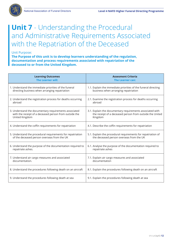

#### Unit Purpose:

**The Purpose of this unit is to develop learners understanding of the regulation, documentation and process requirements associated with repatriation of the deceased to or from the United Kingdom.**

| <b>Learning Outcomes</b>                                    | <b>Assesment Criteria</b>                                      |
|-------------------------------------------------------------|----------------------------------------------------------------|
| <b>The Learner will:</b>                                    | The Learner can:                                               |
| 1. Understand the immediate priorities of the funeral       | 1.1. Explain the immediate priorities of the funeral directing |
| directing business when arranging repatriation              | business when arranging repatriation                           |
| 2. Understand the registration process for deaths occurring | 2.1. Examine the registration process for deaths occurring     |
| abroad                                                      | abroad                                                         |
| 3. Understand the documentary requirements associated       | 3.1. Explain the documentary requirements associated with      |
| with the receipt of a deceased person from outside the      | the receipt of a deceased person from outside the United       |
| United Kingdom                                              | Kingdom                                                        |
| 4. Understand the coffin requirements for repatriation      | 4.1. Describe the coffin requirements for repatriation         |
| 5. Understand the procedural requirements for repatriation  | 5.1. Explain the procedural requirements for repatriation of   |
| of the deceased person overseas from the UK                 | the deceased person overseas from the UK                       |
| 6. Understand the purpose of the documentation required to  | 6.1. Analyse the purpose of the documentation required to      |
| repatriate ashes.                                           | repatriate ashes                                               |
| 7. Understand air cargo measures and associated             | 7.1. Explain air cargo measures and associated                 |
| documentation.                                              | documentation                                                  |
| 8. Understand the procedures following death on an aircraft | 8.1. Explain the procedures following death on an aircraft     |
| 9. Understand the procedures following death at sea         | 9.1. Explain the procedures following death at sea             |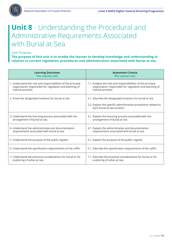

### **Unit 8** - Understanding the Procedural and Administrative Requirements Associated with Burial at Sea

Unit Purpose:

**The purpose of this unit is to enable the learner to develop knowledge and understanding in relation to current regulation, procedures and administration associated with burial at sea.**

| <b>Learning Outcomes</b>                                     | <b>Assesment Criteria</b>                                                                     |
|--------------------------------------------------------------|-----------------------------------------------------------------------------------------------|
| <b>The Learner will:</b>                                     | The Learner can:                                                                              |
| 1. Understand the role and responsibilities of the principal | 1.1. Analyse the role and responsibilities of the principal                                   |
| organisation responsible for regulation and planning of      | organisation responsible for regulation and planning of                                       |
| marine activities                                            | marine activities                                                                             |
| 2. Know the designated locations for burial at sea           | 2.1. Describe the designated locations for burial at sea                                      |
|                                                              | 2.2. Explain the specific administrative procedures related to<br>each burial at sea location |
| 3. Understand the licencing process associated with the      | 3.1. Explain the licencing process associated with the                                        |
| arrangement of burial at sea                                 | arrangement of burial at sea                                                                  |
| 4. Understand the administrative and documentation           | 4.1. Explain the administrative and documentation                                             |
| requirements associated with burial at sea                   | requirements associated with burial at sea                                                    |
| 5. Understand the purpose of the public register             | 5.1. Explain the purpose of the public register                                               |
| 6. Understand the specification requirements of the coffin   | 6.1. Describe the specification requirements of the coffin                                    |
| 7. Understand the practical considerations for burial or for | 7.1. Describe the practical considerations for burial or for                                  |
| scattering of ashes at sea                                   | scattering of ashes at sea                                                                    |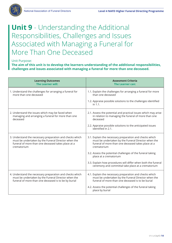

### **Unit 9** - Understanding the Additional Responsibilities, Challenges and Issues Associated with Managing a Funeral for More Than One Deceased

#### Unit Purpose:

**The aim of this unit is to develop the learners understanding of the additional responsibilities, challenges and issues associated with managing a funeral for more than one deceased.**

| <b>Learning Outcomes</b>                                 | <b>Assesment Criteria</b>                                                                                           |
|----------------------------------------------------------|---------------------------------------------------------------------------------------------------------------------|
| The Learner will:                                        | The Learner can:                                                                                                    |
| 1. Understand the challenges for arranging a funeral for | 1.1. Explain the challenges for arranging a funeral for more                                                        |
| more than one deceased                                   | than one deceased                                                                                                   |
|                                                          | 1.2. Appraise possible solutions to the challenges identified<br>in $1.1$ .                                         |
| 2. Understand the issues which may be faced when         | 2.1. Assess the potential and practical issues which may arise                                                      |
| managing and arranging a funeral for more than one       | in relation to managing the funeral of more than one                                                                |
| deceased                                                 | deceased                                                                                                            |
|                                                          | 2.2. Appraise possible solutions to the anticipated issues<br>identified in 2.1.                                    |
| 3. Understand the necessary preparation and checks which | 3.1. Explain the necessary preparation and checks which                                                             |
| must be undertaken by the Funeral Director when the      | must be undertaken by the Funeral Director when the                                                                 |
| funeral of more than one deceased takes place at a       | funeral of more than one deceased takes place at a                                                                  |
| crematorium                                              | crematorium                                                                                                         |
|                                                          | 3.2. Assess the potential challenges of the funeral taking<br>place at a crematorium                                |
|                                                          | 3.3. Explain how procedures will differ when both the funeral<br>ceremony and committal take place at a crematorium |
| 4. Understand the necessary preparation and checks which | 4.1. Explain the necessary preparation and checks which                                                             |
| must be undertaken by the Funeral Director when the      | must be undertaken by the Funeral Director when the                                                                 |
| funeral of more than one deceased is to be by burial     | funeral of more than one deceased is to be burial                                                                   |
|                                                          | 4.2. Assess the potential challenges of the funeral taking<br>place by burial                                       |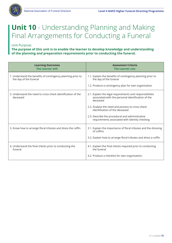

# **Unit 10** - Understanding Planning and Making Final Arrangements for Conducting a Funeral

Unit Purpose:

**The purpose of this unit is to enable the learner to develop knowledge and understanding of the planning and preparation requirements prior to conducting the funeral.**

| <b>Learning Outcomes</b><br><b>The Learner will:</b>                                  | <b>Assesment Criteria</b><br>The Learner can:                                                                              |
|---------------------------------------------------------------------------------------|----------------------------------------------------------------------------------------------------------------------------|
| 1. Understand the benefits of contingency planning prior to<br>the day of the funeral | 1.1. Explain the benefits of contingency planning prior to<br>the day of the funeral                                       |
|                                                                                       | 1.2. Produce a contingency plan for own organisation                                                                       |
| 2. Understand the need to cross-check identification of the<br>deceased               | 2.1. Explain the legal requirements and responsibilities<br>associated with the personal identification of the<br>deceased |
|                                                                                       | 2.2. Analyse the need and process to cross-check<br>identification of the deceased                                         |
|                                                                                       | 2.3. Describe the procedural and administrative<br>requirements associated with identity checking                          |
| 3. Know how to arrange floral tributes and dress the coffin                           | 3.1. Explain the importance of floral tributes and the dressing<br>of coffins                                              |
|                                                                                       | 3.2. Explain how to arrange floral tributes and dress a coffin                                                             |
| 4. Understand the final checks prior to conducting the<br>funeral                     | 4.1. Explain the final checks required prior to conducting<br>the funeral                                                  |
|                                                                                       | 4.2. Produce a checklist for own organisation.                                                                             |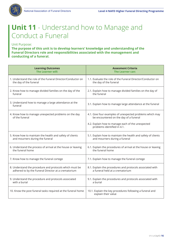

# **Unit 11** - Understand how to Manage and Conduct a Funeral

Unit Purpose:

**The purpose of this unit is to develop learners' knowledge and understanding of the Funeral Directors role and responsibilities associated with the management and conducting of a funeral.**

| <b>Learning Outcomes</b>                                         | <b>Assesment Criteria</b>                                                        |
|------------------------------------------------------------------|----------------------------------------------------------------------------------|
| <b>The Learner will:</b>                                         | The Learner can:                                                                 |
| 1. Understand the role of the Funeral Director/Conductor on      | 1.1. Evaluate the role of the Funeral Director/Conductor on                      |
| the day of the funeral                                           | the day of the funeral                                                           |
| 2. Know how to manage divided families on the day of the         | 2.1. Explain how to manage divided families on the day of                        |
| funeral                                                          | the funeral                                                                      |
| 3. Understand how to manage a large attendance at the<br>funeral | 3.1. Explain how to manage large attendance at the funeral                       |
| 4. Know how to manage unexpected problems on the day             | 4.1. Give four examples of unexpected problems which may                         |
| of the funeral                                                   | be encountered on the day of a funeral                                           |
|                                                                  | 4.2. Explain how to manage each of the unexpected<br>problems identified in 4.1. |
| 5. Know how to maintain the health and safety of clients         | 5.1. Explain how to maintain the health and safety of clients                    |
| and mourners during the funeral                                  | and mourners during a funeral                                                    |
| 6. Understand the process of arrival at the house or leaving     | 6.1. Explain the procedures of arrival at the house or leaving                   |
| the funeral home                                                 | the funeral home                                                                 |
| 7. Know how to manage the funeral cortege                        | 7.1. Explain how to manage the funeral cortege                                   |
| 8. Understand the procedure and protocols which must be          | 8.1. Explain the procedures and protocols associated with                        |
| adhered to by the Funeral Director at a crematorium              | a funeral held at a crematorium                                                  |
| 9. Understand the procedure and protocols associated             | 9.1. Explain the procedures and protocols associated with                        |
| with a burial                                                    | a burial                                                                         |
| 10. Know the post funeral tasks required at the funeral home     | 10.1. Explain the key procedures following a funeral and<br>explain their value  |